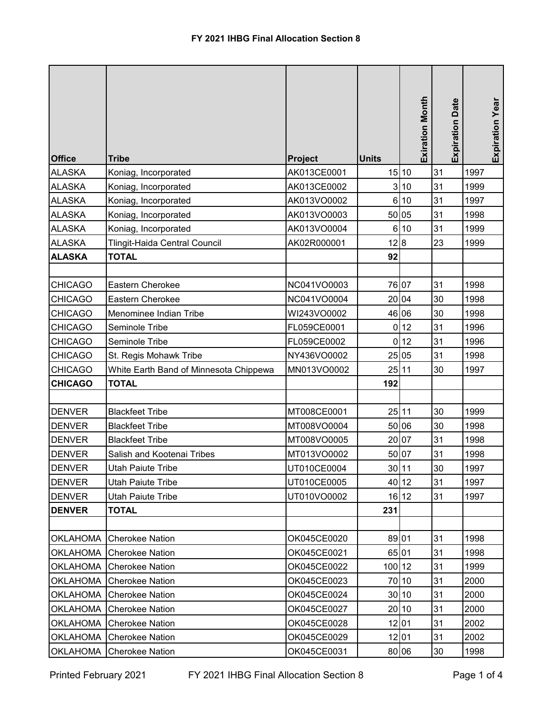|                 |                                        |                |              | <b>Exiration Month</b> |                        |                 |
|-----------------|----------------------------------------|----------------|--------------|------------------------|------------------------|-----------------|
|                 |                                        |                |              |                        | <b>Expiration Date</b> | Expiration Year |
| <b>Office</b>   | <b>Tribe</b>                           | <b>Project</b> | <b>Units</b> |                        |                        |                 |
| <b>ALASKA</b>   | Koniag, Incorporated                   | AK013CE0001    |              | 15 10                  | 31                     | 1997            |
| <b>ALASKA</b>   | Koniag, Incorporated                   | AK013CE0002    | 3            | 10                     | 31                     | 1999            |
| <b>ALASKA</b>   | Koniag, Incorporated                   | AK013VO0002    | $6 \mid$     | 10                     | 31                     | 1997            |
| <b>ALASKA</b>   | Koniag, Incorporated                   | AK013VO0003    |              | 50 05                  | 31                     | 1998            |
| <b>ALASKA</b>   | Koniag, Incorporated                   | AK013VO0004    | 6            | 10                     | 31                     | 1999            |
| <b>ALASKA</b>   | Tlingit-Haida Central Council          | AK02R000001    | 12 8         |                        | 23                     | 1999            |
| <b>ALASKA</b>   | <b>TOTAL</b>                           |                | 92           |                        |                        |                 |
|                 |                                        |                |              |                        |                        |                 |
| <b>CHICAGO</b>  | Eastern Cherokee                       | NC041VO0003    |              | 76 07                  | 31                     | 1998            |
| <b>CHICAGO</b>  | Eastern Cherokee                       | NC041VO0004    |              | 20 04                  | 30                     | 1998            |
| <b>CHICAGO</b>  | Menominee Indian Tribe                 | WI243VO0002    |              | 46 06                  | 30                     | 1998            |
| <b>CHICAGO</b>  | Seminole Tribe                         | FL059CE0001    | $\mathbf 0$  | 12                     | 31                     | 1996            |
| <b>CHICAGO</b>  | Seminole Tribe                         | FL059CE0002    | 0            | 12                     | 31                     | 1996            |
| <b>CHICAGO</b>  | St. Regis Mohawk Tribe                 | NY436VO0002    |              | 25 05                  | 31                     | 1998            |
| <b>CHICAGO</b>  | White Earth Band of Minnesota Chippewa | MN013VO0002    |              | 25 11                  | 30                     | 1997            |
| <b>CHICAGO</b>  | <b>TOTAL</b>                           |                | 192          |                        |                        |                 |
|                 |                                        |                |              |                        |                        |                 |
| <b>DENVER</b>   | <b>Blackfeet Tribe</b>                 | MT008CE0001    |              | 25 11                  | 30                     | 1999            |
| <b>DENVER</b>   | <b>Blackfeet Tribe</b>                 | MT008VO0004    |              | 50 06                  | 30                     | 1998            |
| <b>DENVER</b>   | <b>Blackfeet Tribe</b>                 | MT008VO0005    |              | 20 07                  | 31                     | 1998            |
| <b>DENVER</b>   | Salish and Kootenai Tribes             | MT013VO0002    |              | 50 07                  | 31                     | 1998            |
| <b>DENVER</b>   | Utah Paiute Tribe                      | UT010CE0004    |              | 30 11                  | 30                     | 1997            |
| <b>DENVER</b>   | Utah Paiute Tribe                      | UT010CE0005    |              | 40 12                  | 31                     | 1997            |
| <b>DENVER</b>   | <b>Utah Paiute Tribe</b>               | UT010VO0002    |              | 16 12                  | 31                     | 1997            |
| <b>DENVER</b>   | TOTAL                                  |                | 231          |                        |                        |                 |
|                 |                                        |                |              |                        |                        |                 |
| OKLAHOMA        | <b>Cherokee Nation</b>                 | OK045CE0020    |              | 89 01                  | 31                     | 1998            |
| OKLAHOMA        | <b>Cherokee Nation</b>                 | OK045CE0021    |              | 65 01                  | 31                     | 1998            |
| <b>OKLAHOMA</b> | <b>Cherokee Nation</b>                 | OK045CE0022    | 100 12       |                        | 31                     | 1999            |
| <b>OKLAHOMA</b> | <b>Cherokee Nation</b>                 | OK045CE0023    |              | 70 10                  | 31                     | 2000            |
| <b>OKLAHOMA</b> | <b>Cherokee Nation</b>                 | OK045CE0024    |              | 30 10                  | 31                     | 2000            |
| <b>OKLAHOMA</b> | <b>Cherokee Nation</b>                 | OK045CE0027    |              | 20 10                  | 31                     | 2000            |
| <b>OKLAHOMA</b> | <b>Cherokee Nation</b>                 | OK045CE0028    |              | 12 01                  | 31                     | 2002            |
| <b>OKLAHOMA</b> | <b>Cherokee Nation</b>                 | OK045CE0029    |              | 12 01                  | 31                     | 2002            |
| OKLAHOMA        | <b>Cherokee Nation</b>                 | OK045CE0031    |              | 80 06                  | 30                     | 1998            |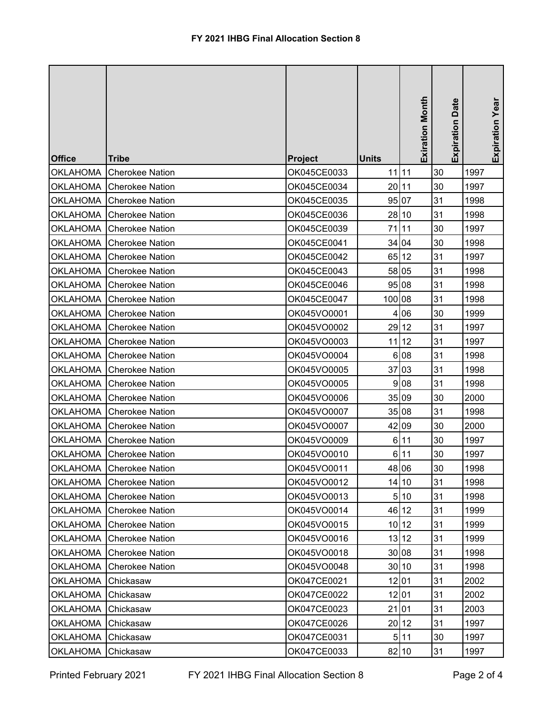|                 |                          |             |              | <b>Exiration Month</b> | <b>Expiration Date</b> | Expiration Year |
|-----------------|--------------------------|-------------|--------------|------------------------|------------------------|-----------------|
| <b>Office</b>   | Tribe                    | Project     | <b>Units</b> |                        |                        |                 |
| <b>OKLAHOMA</b> | <b>Cherokee Nation</b>   | OK045CE0033 | $11$ 11      |                        | 30                     | 1997            |
| <b>OKLAHOMA</b> | <b>Cherokee Nation</b>   | OK045CE0034 | 20 11        |                        | 30                     | 1997            |
| <b>OKLAHOMA</b> | <b>Cherokee Nation</b>   | OK045CE0035 |              | 95 07                  | 31                     | 1998            |
| <b>OKLAHOMA</b> | <b>Cherokee Nation</b>   | OK045CE0036 |              | 28 10                  | 31                     | 1998            |
| OKLAHOMA        | <b>Cherokee Nation</b>   | OK045CE0039 |              | 71 11                  | 30                     | 1997            |
| <b>OKLAHOMA</b> | <b>Cherokee Nation</b>   | OK045CE0041 |              | 34 04                  | 30                     | 1998            |
| OKLAHOMA        | <b>Cherokee Nation</b>   | OK045CE0042 |              | 65 12                  | 31                     | 1997            |
| <b>OKLAHOMA</b> | <b>Cherokee Nation</b>   | OK045CE0043 |              | 58 05                  | 31                     | 1998            |
| <b>OKLAHOMA</b> | <b>Cherokee Nation</b>   | OK045CE0046 |              | 95 08                  | 31                     | 1998            |
| OKLAHOMA        | <b>Cherokee Nation</b>   | OK045CE0047 | 100 08       |                        | 31                     | 1998            |
| <b>OKLAHOMA</b> | <b>Cherokee Nation</b>   | OK045VO0001 | 4            | 06                     | 30                     | 1999            |
| <b>OKLAHOMA</b> | <b>Cherokee Nation</b>   | OK045VO0002 |              | 29 12                  | 31                     | 1997            |
| <b>OKLAHOMA</b> | <b>Cherokee Nation</b>   | OK045VO0003 |              | $11$ 12                | 31                     | 1997            |
| <b>OKLAHOMA</b> | <b>Cherokee Nation</b>   | OK045VO0004 |              | 6 08                   | 31                     | 1998            |
| <b>OKLAHOMA</b> | <b>Cherokee Nation</b>   | OK045VO0005 |              | 37 03                  | 31                     | 1998            |
| <b>OKLAHOMA</b> | <b>Cherokee Nation</b>   | OK045VO0005 | 9            | 08                     | 31                     | 1998            |
| <b>OKLAHOMA</b> | <b>Cherokee Nation</b>   | OK045VO0006 |              | 35 09                  | 30                     | 2000            |
| <b>OKLAHOMA</b> | <b>Cherokee Nation</b>   | OK045VO0007 |              | 35 08                  | 31                     | 1998            |
| <b>OKLAHOMA</b> | <b>Cherokee Nation</b>   | OK045VO0007 |              | 42 09                  | 30                     | 2000            |
| OKLAHOMA        | <b>Cherokee Nation</b>   | OK045VO0009 |              | 6 11                   | 30                     | 1997            |
| <b>OKLAHOMA</b> | <b>Cherokee Nation</b>   | OK045VO0010 | $6 \mid$     | 11                     | 30                     | 1997            |
|                 | OKLAHOMA Cherokee Nation | OK045VO0011 |              | 48 06                  | 30                     | 1998            |
| OKLAHOMA        | <b>Cherokee Nation</b>   | OK045VO0012 |              | 14 10                  | 31                     | 1998            |
| OKLAHOMA        | <b>Cherokee Nation</b>   | OK045VO0013 |              | 510                    | 31                     | 1998            |
| OKLAHOMA        | <b>Cherokee Nation</b>   | OK045VO0014 |              | 46 12                  | 31                     | 1999            |
| <b>OKLAHOMA</b> | <b>Cherokee Nation</b>   | OK045VO0015 |              | 10 12                  | 31                     | 1999            |
| OKLAHOMA        | <b>Cherokee Nation</b>   | OK045VO0016 |              | $13 12$                | 31                     | 1999            |
| OKLAHOMA        | <b>Cherokee Nation</b>   | OK045VO0018 |              | 30 08                  | 31                     | 1998            |
| <b>OKLAHOMA</b> | <b>Cherokee Nation</b>   | OK045VO0048 |              | 30 10                  | 31                     | 1998            |
| <b>OKLAHOMA</b> | Chickasaw                | OK047CE0021 |              | 12 01                  | 31                     | 2002            |
| <b>OKLAHOMA</b> | Chickasaw                | OK047CE0022 |              | 12 01                  | 31                     | 2002            |
| <b>OKLAHOMA</b> | Chickasaw                | OK047CE0023 |              | 21 01                  | 31                     | 2003            |
| <b>OKLAHOMA</b> | Chickasaw                | OK047CE0026 |              | 20 12                  | 31                     | 1997            |
| <b>OKLAHOMA</b> | Chickasaw                | OK047CE0031 |              | 511                    | 30                     | 1997            |
| OKLAHOMA        | Chickasaw                | OK047CE0033 |              | 82 10                  | 31                     | 1997            |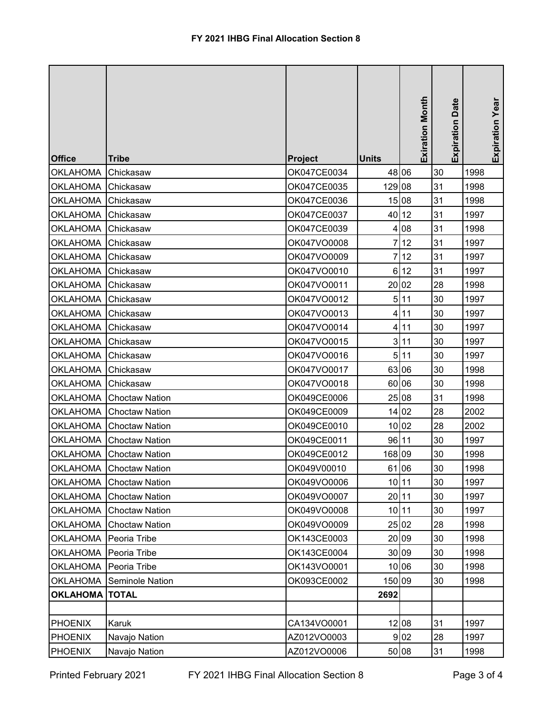| <b>Office</b>           | <b>Tribe</b>            | Project     | <b>Units</b>   | <b>Exiration Month</b> | <b>Expiration Date</b> | Expiration Year |
|-------------------------|-------------------------|-------------|----------------|------------------------|------------------------|-----------------|
| <b>OKLAHOMA</b>         | Chickasaw               | OK047CE0034 |                | 48 06                  | 30                     | 1998            |
| <b>OKLAHOMA</b>         | Chickasaw               | OK047CE0035 | 129 08         |                        | 31                     | 1998            |
| <b>OKLAHOMA</b>         | Chickasaw               | OK047CE0036 |                | 15 08                  | 31                     | 1998            |
| <b>OKLAHOMA</b>         | Chickasaw               | OK047CE0037 |                | 40 12                  | 31                     | 1997            |
| <b>OKLAHOMA</b>         | Chickasaw               | OK047CE0039 | 4              | 08                     | 31                     | 1998            |
| <b>OKLAHOMA</b>         | Chickasaw               | OK047VO0008 | 7              | 12                     | 31                     | 1997            |
| <b>OKLAHOMA</b>         | Chickasaw               | OK047VO0009 | 7              | 12                     | 31                     | 1997            |
| <b>OKLAHOMA</b>         | Chickasaw               | OK047VO0010 | 6              | 12                     | 31                     | 1997            |
| <b>OKLAHOMA</b>         | Chickasaw               | OK047VO0011 |                | 20 02                  | 28                     | 1998            |
| <b>OKLAHOMA</b>         | Chickasaw               | OK047VO0012 |                | 5 11                   | 30                     | 1997            |
| <b>OKLAHOMA</b>         | Chickasaw               | OK047VO0013 |                | 4 11                   | 30                     | 1997            |
| <b>OKLAHOMA</b>         | Chickasaw               | OK047VO0014 |                | 411                    | 30                     | 1997            |
| <b>OKLAHOMA</b>         | Chickasaw               | OK047VO0015 | 3 <sup>1</sup> | 11                     | 30                     | 1997            |
| <b>OKLAHOMA</b>         | Chickasaw               | OK047VO0016 |                | 5 11                   | 30                     | 1997            |
| <b>OKLAHOMA</b>         | Chickasaw               | OK047VO0017 |                | 63 06                  | 30                     | 1998            |
| <b>OKLAHOMA</b>         | Chickasaw               | OK047VO0018 |                | 60 06                  | 30                     | 1998            |
| <b>OKLAHOMA</b>         | <b>Choctaw Nation</b>   | OK049CE0006 |                | 25 08                  | 31                     | 1998            |
| <b>OKLAHOMA</b>         | <b>Choctaw Nation</b>   | OK049CE0009 |                | 14 02                  | 28                     | 2002            |
| <b>OKLAHOMA</b>         | <b>Choctaw Nation</b>   | OK049CE0010 |                | 10 02                  | 28                     | 2002            |
| <b>OKLAHOMA</b>         | <b>Choctaw Nation</b>   | OK049CE0011 | 96 11          |                        | 30                     | 1997            |
| <b>OKLAHOMA</b>         | <b>Choctaw Nation</b>   | OK049CE0012 | 168 09         |                        | 30                     | 1998            |
|                         | OKLAHOMA Choctaw Nation | OK049V00010 |                | 61 06                  | 30                     | 1998            |
| <b>OKLAHOMA</b>         | <b>Choctaw Nation</b>   | OK049VO0006 |                | 10 11                  | 30                     | 1997            |
| <b>OKLAHOMA</b>         | <b>Choctaw Nation</b>   | OK049VO0007 |                | 20 11                  | 30                     | 1997            |
| <b>OKLAHOMA</b>         | <b>Choctaw Nation</b>   | OK049VO0008 |                | 10 11                  | 30                     | 1997            |
| <b>OKLAHOMA</b>         | <b>Choctaw Nation</b>   | OK049VO0009 |                | 25 02                  | 28                     | 1998            |
| OKLAHOMA                | Peoria Tribe            | OK143CE0003 |                | 20 09                  | 30                     | 1998            |
| <b>OKLAHOMA</b>         | Peoria Tribe            | OK143CE0004 |                | 30 09                  | 30                     | 1998            |
| <b>OKLAHOMA</b>         | Peoria Tribe            | OK143VO0001 |                | 10 06                  | 30                     | 1998            |
| <b>OKLAHOMA</b>         | <b>Seminole Nation</b>  | OK093CE0002 | 150 09         |                        | 30                     | 1998            |
| <b>OKLAHOMA   TOTAL</b> |                         |             | 2692           |                        |                        |                 |
|                         |                         |             |                |                        |                        |                 |
| <b>PHOENIX</b>          | Karuk                   | CA134VO0001 |                | 12 08                  | 31                     | 1997            |
| <b>PHOENIX</b>          | Navajo Nation           | AZ012VO0003 |                | 9 <sub>02</sub>        | 28                     | 1997            |
| <b>PHOENIX</b>          | Navajo Nation           | AZ012VO0006 |                | 50 08                  | 31                     | 1998            |